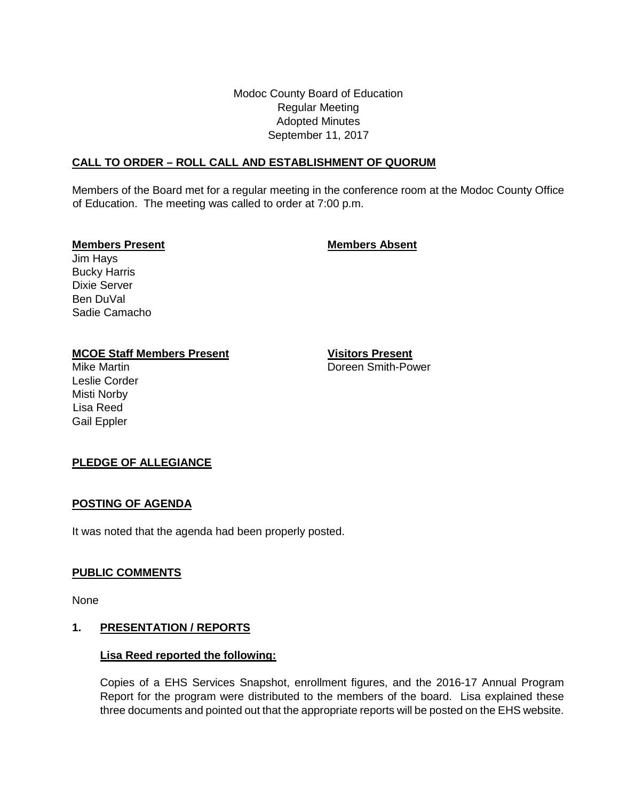Modoc County Board of Education Regular Meeting Adopted Minutes September 11, 2017

# **CALL TO ORDER – ROLL CALL AND ESTABLISHMENT OF QUORUM**

Members of the Board met for a regular meeting in the conference room at the Modoc County Office of Education. The meeting was called to order at 7:00 p.m.

#### **Members Present Members Absent**

Jim Hays Bucky Harris Dixie Server Ben DuVal Sadie Camacho

# **MCOE Staff Members Present Visitors Present**

Leslie Corder Misti Norby Lisa Reed Gail Eppler

Mike Martin Doreen Smith-Power

# **PLEDGE OF ALLEGIANCE**

#### **POSTING OF AGENDA**

It was noted that the agenda had been properly posted.

# **PUBLIC COMMENTS**

None

#### **1. PRESENTATION / REPORTS**

#### **Lisa Reed reported the following:**

Copies of a EHS Services Snapshot, enrollment figures, and the 2016-17 Annual Program Report for the program were distributed to the members of the board. Lisa explained these three documents and pointed out that the appropriate reports will be posted on the EHS website.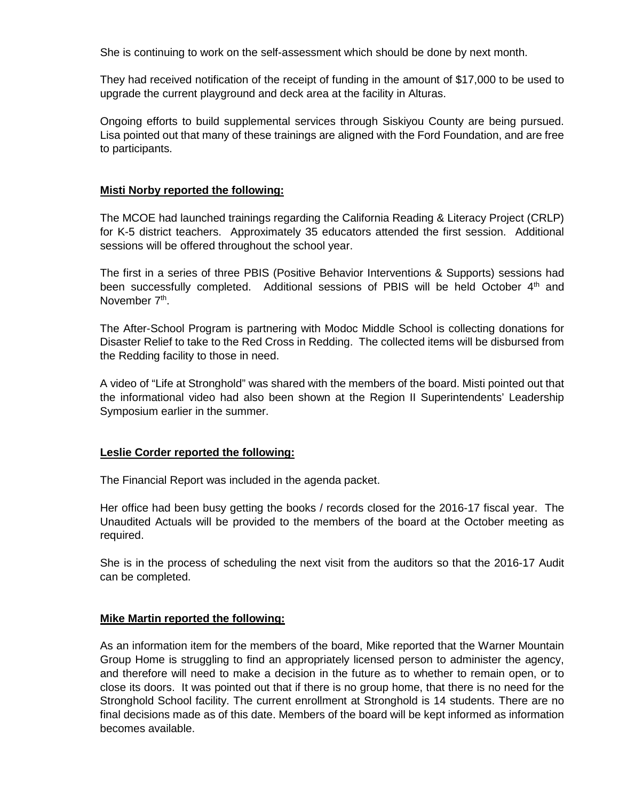She is continuing to work on the self-assessment which should be done by next month.

They had received notification of the receipt of funding in the amount of \$17,000 to be used to upgrade the current playground and deck area at the facility in Alturas.

Ongoing efforts to build supplemental services through Siskiyou County are being pursued. Lisa pointed out that many of these trainings are aligned with the Ford Foundation, and are free to participants.

#### **Misti Norby reported the following:**

The MCOE had launched trainings regarding the California Reading & Literacy Project (CRLP) for K-5 district teachers. Approximately 35 educators attended the first session. Additional sessions will be offered throughout the school year.

The first in a series of three PBIS (Positive Behavior Interventions & Supports) sessions had been successfully completed. Additional sessions of PBIS will be held October 4<sup>th</sup> and November 7<sup>th</sup>.

The After-School Program is partnering with Modoc Middle School is collecting donations for Disaster Relief to take to the Red Cross in Redding. The collected items will be disbursed from the Redding facility to those in need.

A video of "Life at Stronghold" was shared with the members of the board. Misti pointed out that the informational video had also been shown at the Region II Superintendents' Leadership Symposium earlier in the summer.

#### **Leslie Corder reported the following:**

The Financial Report was included in the agenda packet.

Her office had been busy getting the books / records closed for the 2016-17 fiscal year. The Unaudited Actuals will be provided to the members of the board at the October meeting as required.

She is in the process of scheduling the next visit from the auditors so that the 2016-17 Audit can be completed.

#### **Mike Martin reported the following:**

As an information item for the members of the board, Mike reported that the Warner Mountain Group Home is struggling to find an appropriately licensed person to administer the agency, and therefore will need to make a decision in the future as to whether to remain open, or to close its doors. It was pointed out that if there is no group home, that there is no need for the Stronghold School facility. The current enrollment at Stronghold is 14 students. There are no final decisions made as of this date. Members of the board will be kept informed as information becomes available.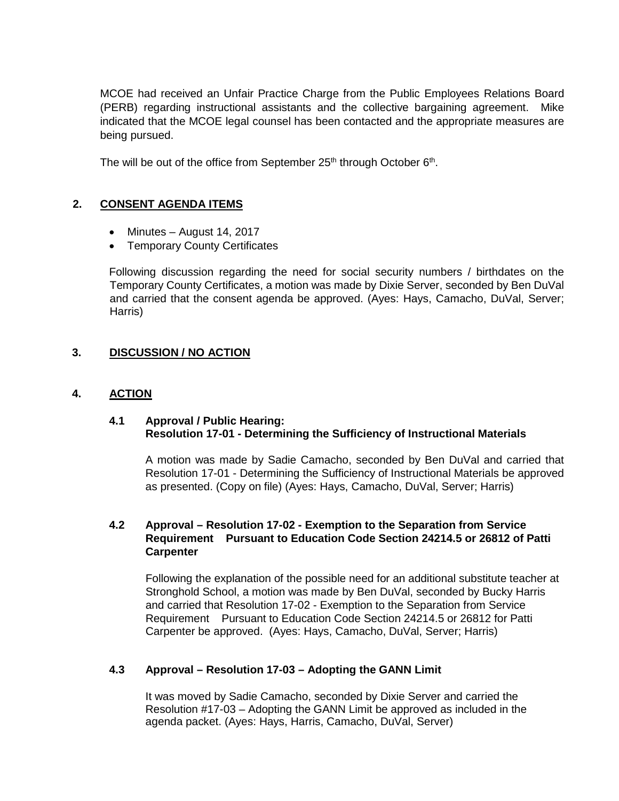MCOE had received an Unfair Practice Charge from the Public Employees Relations Board (PERB) regarding instructional assistants and the collective bargaining agreement. Mike indicated that the MCOE legal counsel has been contacted and the appropriate measures are being pursued.

The will be out of the office from September  $25<sup>th</sup>$  through October  $6<sup>th</sup>$ .

# **2. CONSENT AGENDA ITEMS**

- Minutes August 14, 2017
- Temporary County Certificates

Following discussion regarding the need for social security numbers / birthdates on the Temporary County Certificates, a motion was made by Dixie Server, seconded by Ben DuVal and carried that the consent agenda be approved. (Ayes: Hays, Camacho, DuVal, Server; Harris)

# **3. DISCUSSION / NO ACTION**

#### **4. ACTION**

#### **4.1 Approval / Public Hearing: Resolution 17-01 - Determining the Sufficiency of Instructional Materials**

A motion was made by Sadie Camacho, seconded by Ben DuVal and carried that Resolution 17-01 - Determining the Sufficiency of Instructional Materials be approved as presented. (Copy on file) (Ayes: Hays, Camacho, DuVal, Server; Harris)

# **4.2 Approval – Resolution 17-02 - Exemption to the Separation from Service Requirement Pursuant to Education Code Section 24214.5 or 26812 of Patti Carpenter**

Following the explanation of the possible need for an additional substitute teacher at Stronghold School, a motion was made by Ben DuVal, seconded by Bucky Harris and carried that Resolution 17-02 - Exemption to the Separation from Service Requirement Pursuant to Education Code Section 24214.5 or 26812 for Patti Carpenter be approved. (Ayes: Hays, Camacho, DuVal, Server; Harris)

# **4.3 Approval – Resolution 17-03 – Adopting the GANN Limit**

It was moved by Sadie Camacho, seconded by Dixie Server and carried the Resolution #17-03 – Adopting the GANN Limit be approved as included in the agenda packet. (Ayes: Hays, Harris, Camacho, DuVal, Server)